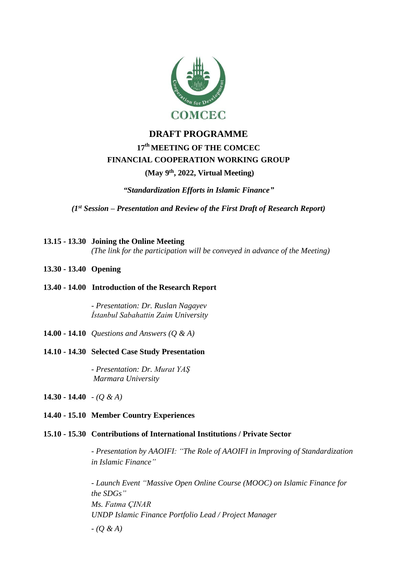

# **DRAFT PROGRAMME 17 th MEETING OF THE COMCEC FINANCIAL COOPERATION WORKING GROUP**

# **(May 9th, 2022, Virtual Meeting)**

*"Standardization Efforts in Islamic Finance"*

*(1st Session – Presentation and Review of the First Draft of Research Report)*

- **13.15 - 13.30 Joining the Online Meeting** *(The link for the participation will be conveyed in advance of the Meeting)*
- **13.30 - 13.40 Opening**
- **13.40 - 14.00 Introduction of the Research Report**

*- Presentation: Dr. Ruslan Nagayev İstanbul Sabahattin Zaim University*

- **14.00 - 14.10** *Questions and Answers (Q & A)*
- **14.10 - 14.30 Selected Case Study Presentation**

*- Presentation: Dr. Murat YAŞ Marmara University*

**14.30 - 14.40** - *(Q & A)*

#### **14.40 - 15.10 Member Country Experiences**

## **15.10 - 15.30 Contributions of International Institutions / Private Sector**

*- Presentation by AAOIFI: "The Role of AAOIFI in Improving of Standardization in Islamic Finance"*

*- Launch Event "Massive Open Online Course (MOOC) on Islamic Finance for the SDGs" Ms. Fatma ÇINAR UNDP Islamic Finance Portfolio Lead / Project Manager - (Q & A)*